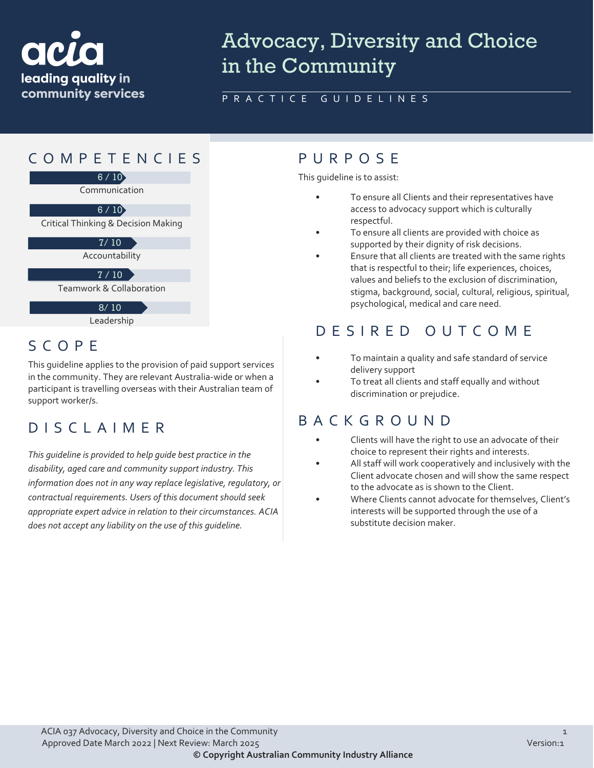

# Advocacy, Diversity and Choice in the Community

#### PRACTICE GUIDELINES

## COMPETENCIES PURPOS E



Leadership

## SCOPE

This guideline applies to the provision of paid support services in the community. They are relevant Australia-wide or when a participant is travelling overseas with their Australian team of support worker/s.

## DISCLAIMER

*This guideline is provided to help guide best practice in the disability, aged care and community support industry. This information does not in any way replace legislative, regulatory, or contractual requirements. Users of this document should seek appropriate expert advice in relation to their circumstances. ACIA does not accept any liability on the use of this guideline.*

This guideline is to assist:

- To ensure all Clients and their representatives have access to advocacy support which is culturally respectful.
- To ensure all clients are provided with choice as supported by their dignity of risk decisions.
- Ensure that all clients are treated with the same rights that is respectful to their; life experiences, choices, values and beliefs to the exclusion of discrimination, stigma, background, social, cultural, religious, spiritual, psychological, medical and care need.

## DESIRED OUTCOME

- To maintain a quality and safe standard of service delivery support
- To treat all clients and staff equally and without discrimination or prejudice.

## BACKGROUND

- Clients will have the right to use an advocate of their choice to represent their rights and interests.
- All staff will work cooperatively and inclusively with the Client advocate chosen and will show the same respect to the advocate as is shown to the Client.
- Where Clients cannot advocate for themselves, Client's interests will be supported through the use of a substitute decision maker.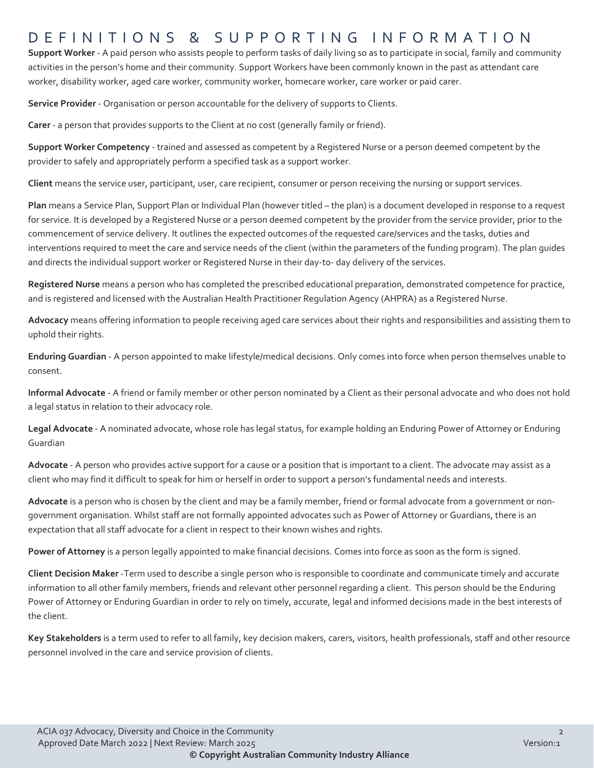## DEFINITIONS & SUPPORTING INFORMATIO N

**Support Worker** - A paid person who assists people to perform tasks of daily living so as to participate in social, family and community activities in the person's home and their community. Support Workers have been commonly known in the past as attendant care worker, disability worker, aged care worker, community worker, homecare worker, care worker or paid carer.

**Service Provider** - Organisation or person accountable for the delivery of supports to Clients.

**Carer** - a person that provides supports to the Client at no cost (generally family or friend).

**Support Worker Competency** - trained and assessed as competent by a Registered Nurse or a person deemed competent by the provider to safely and appropriately perform a specified task as a support worker.

**Client** means the service user, participant, user, care recipient, consumer or person receiving the nursing or support services.

**Plan** means a Service Plan, Support Plan or Individual Plan (however titled – the plan) is a document developed in response to a request for service. It is developed by a Registered Nurse or a person deemed competent by the provider from the service provider, prior to the commencement of service delivery. It outlines the expected outcomes of the requested care/services and the tasks, duties and interventions required to meet the care and service needs of the client (within the parameters of the funding program). The plan guides and directs the individual support worker or Registered Nurse in their day-to- day delivery of the services.

**Registered Nurse** means a person who has completed the prescribed educational preparation, demonstrated competence for practice, and is registered and licensed with the Australian Health Practitioner Regulation Agency (AHPRA) as a Registered Nurse.

**Advocacy** means offering information to people receiving aged care services about their rights and responsibilities and assisting them to uphold their rights.

**Enduring Guardian** - A person appointed to make lifestyle/medical decisions. Only comes into force when person themselves unable to consent.

**Informal Advocate** - A friend or family member or other person nominated by a Client as their personal advocate and who does not hold a legal status in relation to their advocacy role.

**Legal Advocate** - A nominated advocate, whose role has legal status, for example holding an Enduring Power of Attorney or Enduring Guardian

**Advocate** - A person who provides active support for a cause or a position that is important to a client. The advocate may assist as a client who may find it difficult to speak for him or herself in order to support a person's fundamental needs and interests.

**Advocate** is a person who is chosen by the client and may be a family member, friend or formal advocate from a government or nongovernment organisation. Whilst staff are not formally appointed advocates such as Power of Attorney or Guardians, there is an expectation that all staff advocate for a client in respect to their known wishes and rights.

**Power of Attorney** is a person legally appointed to make financial decisions. Comes into force as soon as the form is signed.

**Client Decision Maker** -Term used to describe a single person who is responsible to coordinate and communicate timely and accurate information to all other family members, friends and relevant other personnel regarding a client. This person should be the Enduring Power of Attorney or Enduring Guardian in order to rely on timely, accurate, legal and informed decisions made in the best interests of the client.

**Key Stakeholders** is a term used to refer to all family, key decision makers, carers, visitors, health professionals, staff and other resource personnel involved in the care and service provision of clients.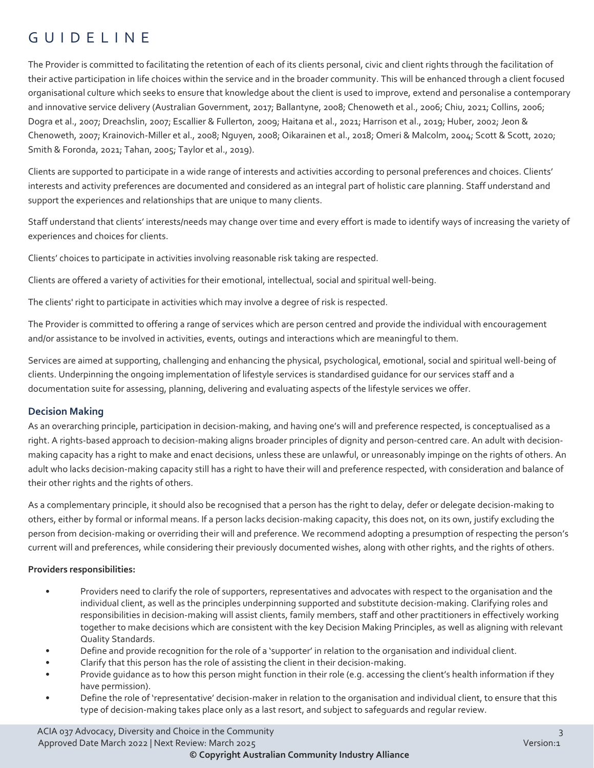## GUIDELINE

The Provider is committed to facilitating the retention of each of its clients personal, civic and client rights through the facilitation of their active participation in life choices within the service and in the broader community. This will be enhanced through a client focused organisational culture which seeks to ensure that knowledge about the client is used to improve, extend and personalise a contemporary and innovative service delivery (Australian Government, 2017; Ballantyne, 2008; Chenoweth et al., 2006; Chiu, 2021; Collins, 2006; Dogra et al., 2007; Dreachslin, 2007; Escallier & Fullerton, 2009; Haitana et al., 2021; Harrison et al., 2019; Huber, 2002; Jeon & Chenoweth, 2007; Krainovich-Miller et al., 2008; Nguyen, 2008; Oikarainen et al., 2018; Omeri & Malcolm, 2004; Scott & Scott, 2020; Smith & Foronda, 2021; Tahan, 2005; Taylor et al., 2019).

Clients are supported to participate in a wide range of interests and activities according to personal preferences and choices. Clients' interests and activity preferences are documented and considered as an integral part of holistic care planning. Staff understand and support the experiences and relationships that are unique to many clients.

Staff understand that clients' interests/needs may change over time and every effort is made to identify ways of increasing the variety of experiences and choices for clients.

Clients' choices to participate in activities involving reasonable risk taking are respected.

Clients are offered a variety of activities for their emotional, intellectual, social and spiritual well-being.

The clients' right to participate in activities which may involve a degree of risk is respected.

The Provider is committed to offering a range of services which are person centred and provide the individual with encouragement and/or assistance to be involved in activities, events, outings and interactions which are meaningful to them.

Services are aimed at supporting, challenging and enhancing the physical, psychological, emotional, social and spiritual well-being of clients. Underpinning the ongoing implementation of lifestyle services is standardised guidance for our services staff and a documentation suite for assessing, planning, delivering and evaluating aspects of the lifestyle services we offer.

#### **Decision Making**

As an overarching principle, participation in decision-making, and having one's will and preference respected, is conceptualised as a right. A rights-based approach to decision-making aligns broader principles of dignity and person-centred care. An adult with decisionmaking capacity has a right to make and enact decisions, unless these are unlawful, or unreasonably impinge on the rights of others. An adult who lacks decision-making capacity still has a right to have their will and preference respected, with consideration and balance of their other rights and the rights of others.

As a complementary principle, it should also be recognised that a person has the right to delay, defer or delegate decision-making to others, either by formal or informal means. If a person lacks decision-making capacity, this does not, on its own, justify excluding the person from decision-making or overriding their will and preference. We recommend adopting a presumption of respecting the person's current will and preferences, while considering their previously documented wishes, along with other rights, and the rights of others.

#### **Providers responsibilities:**

- Providers need to clarify the role of supporters, representatives and advocates with respect to the organisation and the individual client, as well as the principles underpinning supported and substitute decision-making. Clarifying roles and responsibilities in decision-making will assist clients, family members, staff and other practitioners in effectively working together to make decisions which are consistent with the key Decision Making Principles, as well as aligning with relevant Quality Standards.
- Define and provide recognition for the role of a 'supporter' in relation to the organisation and individual client.
- Clarify that this person has the role of assisting the client in their decision-making.
- Provide guidance as to how this person might function in their role (e.g. accessing the client's health information if they have permission).
- Define the role of 'representative' decision-maker in relation to the organisation and individual client, to ensure that this type of decision-making takes place only as a last resort, and subject to safeguards and regular review.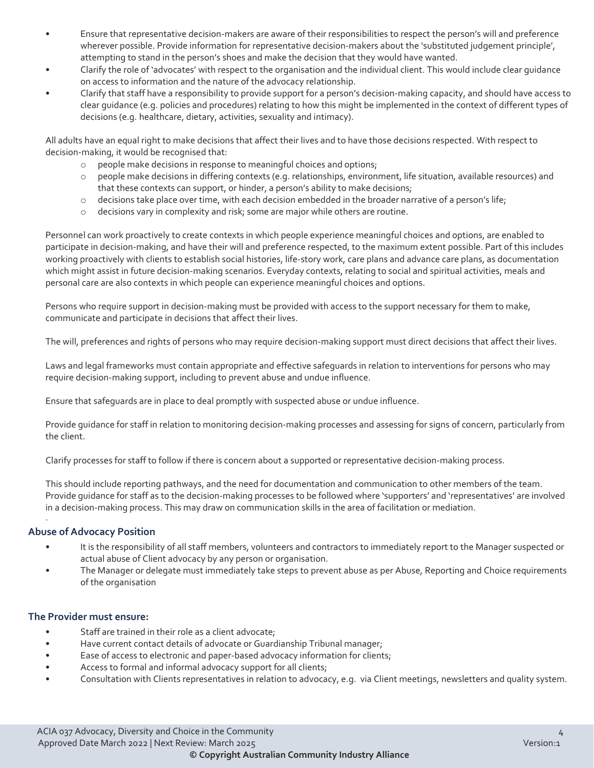- Ensure that representative decision-makers are aware of their responsibilities to respect the person's will and preference wherever possible. Provide information for representative decision-makers about the 'substituted judgement principle', attempting to stand in the person's shoes and make the decision that they would have wanted.
- Clarify the role of 'advocates' with respect to the organisation and the individual client. This would include clear guidance on access to information and the nature of the advocacy relationship.
- Clarify that staff have a responsibility to provide support for a person's decision-making capacity, and should have access to clear guidance (e.g. policies and procedures) relating to how this might be implemented in the context of different types of decisions (e.g. healthcare, dietary, activities, sexuality and intimacy).

All adults have an equal right to make decisions that affect their lives and to have those decisions respected. With respect to decision-making, it would be recognised that:

- o people make decisions in response to meaningful choices and options;
- o people make decisions in differing contexts (e.g. relationships, environment, life situation, available resources) and that these contexts can support, or hinder, a person's ability to make decisions;
- o decisions take place over time, with each decision embedded in the broader narrative of a person's life;
- o decisions vary in complexity and risk; some are major while others are routine.

Personnel can work proactively to create contexts in which people experience meaningful choices and options, are enabled to participate in decision-making, and have their will and preference respected, to the maximum extent possible. Part of this includes working proactively with clients to establish social histories, life-story work, care plans and advance care plans, as documentation which might assist in future decision-making scenarios. Everyday contexts, relating to social and spiritual activities, meals and personal care are also contexts in which people can experience meaningful choices and options.

Persons who require support in decision-making must be provided with access to the support necessary for them to make, communicate and participate in decisions that affect their lives.

The will, preferences and rights of persons who may require decision-making support must direct decisions that affect their lives.

Laws and legal frameworks must contain appropriate and effective safeguards in relation to interventions for persons who may require decision-making support, including to prevent abuse and undue influence.

Ensure that safeguards are in place to deal promptly with suspected abuse or undue influence.

Provide guidance for staff in relation to monitoring decision-making processes and assessing for signs of concern, particularly from the client.

Clarify processes for staff to follow if there is concern about a supported or representative decision-making process.

This should include reporting pathways, and the need for documentation and communication to other members of the team. Provide guidance for staff as to the decision-making processes to be followed where 'supporters' and 'representatives' are involved in a decision-making process. This may draw on communication skills in the area of facilitation or mediation.

#### **Abuse of Advocacy Position**

·

- It is the responsibility of all staff members, volunteers and contractors to immediately report to the Manager suspected or actual abuse of Client advocacy by any person or organisation.
- The Manager or delegate must immediately take steps to prevent abuse as per Abuse, Reporting and Choice requirements of the organisation

#### **The Provider must ensure:**

- Staff are trained in their role as a client advocate;
- Have current contact details of advocate or Guardianship Tribunal manager;
- Ease of access to electronic and paper-based advocacy information for clients;
- Access to formal and informal advocacy support for all clients;
- Consultation with Clients representatives in relation to advocacy, e.g. via Client meetings, newsletters and quality system.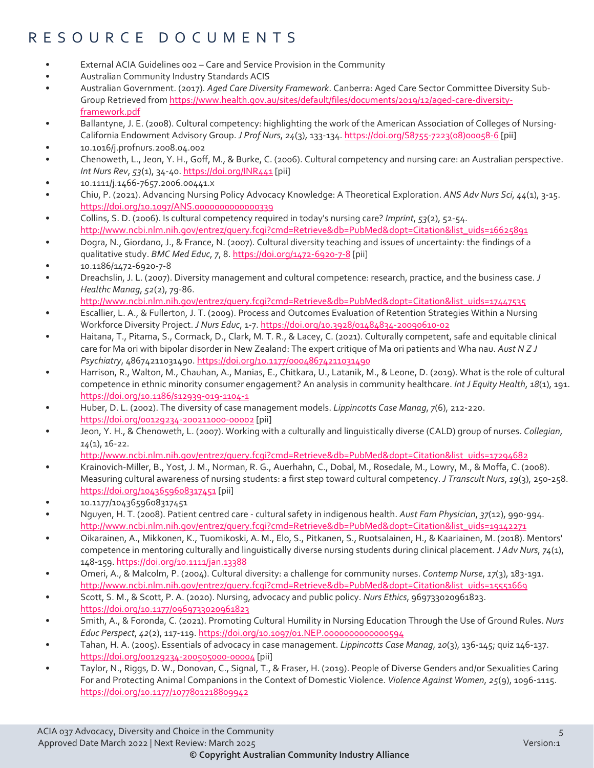## RESOURCE DOCUMENTS

- External ACIA Guidelines 002 Care and Service Provision in the Community
- Australian Community Industry Standards ACIS
- Australian Government. (2017). *Aged Care Diversity Framework*. Canberra: Aged Care Sector Committee Diversity Sub-Group Retrieved from [https://www.health.gov.au/sites/default/files/documents/2019/12/aged-care-diversity](https://www.health.gov.au/sites/default/files/documents/2019/12/aged-care-diversity-framework.pdf)[framework.pdf](https://www.health.gov.au/sites/default/files/documents/2019/12/aged-care-diversity-framework.pdf)
- Ballantyne, J. E. (2008). Cultural competency: highlighting the work of the American Association of Colleges of Nursing-California Endowment Advisory Group. *J Prof Nurs*, *24*(3), 133-134[. https://doi.org/S8755-7223\(08\)00058-6](https://doi.org/S8755-7223(08)00058-6) [pii]
- 10.1016/j.profnurs.2008.04.002
- Chenoweth, L., Jeon, Y. H., Goff, M., & Burke, C. (2006). Cultural competency and nursing care: an Australian perspective. *Int Nurs Rev*, *53*(1), 34-40[. https://doi.org/INR441](https://doi.org/INR441) [pii]
- 10.1111/j.1466-7657.2006.00441.x
- Chiu, P. (2021). Advancing Nursing Policy Advocacy Knowledge: A Theoretical Exploration. *ANS Adv Nurs Sci*, *44*(1), 3-15. <https://doi.org/10.1097/ANS.0000000000000339>
- Collins, S. D. (2006). Is cultural competency required in today's nursing care? *Imprint*, *53*(2), 52-54. [http://www.ncbi.nlm.nih.gov/entrez/query.fcgi?cmd=Retrieve&db=PubMed&dopt=Citation&list\\_uids=16625891](http://www.ncbi.nlm.nih.gov/entrez/query.fcgi?cmd=Retrieve&db=PubMed&dopt=Citation&list_uids=16625891)
- Dogra, N., Giordano, J., & France, N. (2007). Cultural diversity teaching and issues of uncertainty: the findings of a qualitative study. *BMC Med Educ*, *7*, 8.<https://doi.org/1472-6920-7-8> [pii]
- 10.1186/1472-6920-7-8
- Dreachslin, J. L. (2007). Diversity management and cultural competence: research, practice, and the business case. *J Healthc Manag*, *52*(2), 79-86.

[http://www.ncbi.nlm.nih.gov/entrez/query.fcgi?cmd=Retrieve&db=PubMed&dopt=Citation&list\\_uids=17447535](http://www.ncbi.nlm.nih.gov/entrez/query.fcgi?cmd=Retrieve&db=PubMed&dopt=Citation&list_uids=17447535) 

- Escallier, L. A., & Fullerton, J. T. (2009). Process and Outcomes Evaluation of Retention Strategies Within a Nursing Workforce Diversity Project. *J Nurs Educ*, 1-7[. https://doi.org/10.3928/01484834-20090610-02](https://doi.org/10.3928/01484834-20090610-02)
- Haitana, T., Pitama, S., Cormack, D., Clark, M. T. R., & Lacey, C. (2021). Culturally competent, safe and equitable clinical care for Ma ori with bipolar disorder in New Zealand: The expert critique of Ma ori patients and Wha nau. *Aust N Z J Psychiatry*, 48674211031490[. https://doi.org/10.1177/00048674211031490](https://doi.org/10.1177/00048674211031490)
- Harrison, R., Walton, M., Chauhan, A., Manias, E., Chitkara, U., Latanik, M., & Leone, D. (2019). What is the role of cultural competence in ethnic minority consumer engagement? An analysis in community healthcare. *Int J Equity Health*, *18*(1), 191. <https://doi.org/10.1186/s12939-019-1104-1>
- Huber, D. L. (2002). The diversity of case management models. *Lippincotts Case Manag*, *7*(6), 212-220. <https://doi.org/00129234-200211000-00002> [pii]
- Jeon, Y. H., & Chenoweth, L. (2007). Working with a culturally and linguistically diverse (CALD) group of nurses. *Collegian*, *14*(1), 16-22.

[http://www.ncbi.nlm.nih.gov/entrez/query.fcgi?cmd=Retrieve&db=PubMed&dopt=Citation&list\\_uids=17294682](http://www.ncbi.nlm.nih.gov/entrez/query.fcgi?cmd=Retrieve&db=PubMed&dopt=Citation&list_uids=17294682) 

- Krainovich-Miller, B., Yost, J. M., Norman, R. G., Auerhahn, C., Dobal, M., Rosedale, M., Lowry, M., & Moffa, C. (2008). Measuring cultural awareness of nursing students: a first step toward cultural competency. *J Transcult Nurs*, *19*(3), 250-258. <https://doi.org/1043659608317451> [pii]
- 10.1177/1043659608317451
- Nguyen, H. T. (2008). Patient centred care cultural safety in indigenous health. *Aust Fam Physician*, *37*(12), 990-994. [http://www.ncbi.nlm.nih.gov/entrez/query.fcgi?cmd=Retrieve&db=PubMed&dopt=Citation&list\\_uids=19142271](http://www.ncbi.nlm.nih.gov/entrez/query.fcgi?cmd=Retrieve&db=PubMed&dopt=Citation&list_uids=19142271)
- Oikarainen, A., Mikkonen, K., Tuomikoski, A. M., Elo, S., Pitkanen, S., Ruotsalainen, H., & Kaariainen, M. (2018). Mentors' competence in mentoring culturally and linguistically diverse nursing students during clinical placement. *J Adv Nurs*, *74*(1), 148-159[. https://doi.org/10.1111/jan.13388](https://doi.org/10.1111/jan.13388)
- Omeri, A., & Malcolm, P. (2004). Cultural diversity: a challenge for community nurses. *Contemp Nurse*, *17*(3), 183-191. [http://www.ncbi.nlm.nih.gov/entrez/query.fcgi?cmd=Retrieve&db=PubMed&dopt=Citation&list\\_uids=15551669](http://www.ncbi.nlm.nih.gov/entrez/query.fcgi?cmd=Retrieve&db=PubMed&dopt=Citation&list_uids=15551669)
- Scott, S. M., & Scott, P. A. (2020). Nursing, advocacy and public policy. *Nurs Ethics*, 969733020961823. <https://doi.org/10.1177/0969733020961823>
- Smith, A., & Foronda, C. (2021). Promoting Cultural Humility in Nursing Education Through the Use of Ground Rules. *Nurs Educ Perspect*, *42*(2), 117-119.<https://doi.org/10.1097/01.NEP.0000000000000594>
- Tahan, H. A. (2005). Essentials of advocacy in case management. *Lippincotts Case Manag*, *10*(3), 136-145; quiz 146-137. <https://doi.org/00129234-200505000-00004> [pii]
- Taylor, N., Riggs, D. W., Donovan, C., Signal, T., & Fraser, H. (2019). People of Diverse Genders and/or Sexualities Caring For and Protecting Animal Companions in the Context of Domestic Violence. *Violence Against Women*, *25*(9), 1096-1115. <https://doi.org/10.1177/1077801218809942>